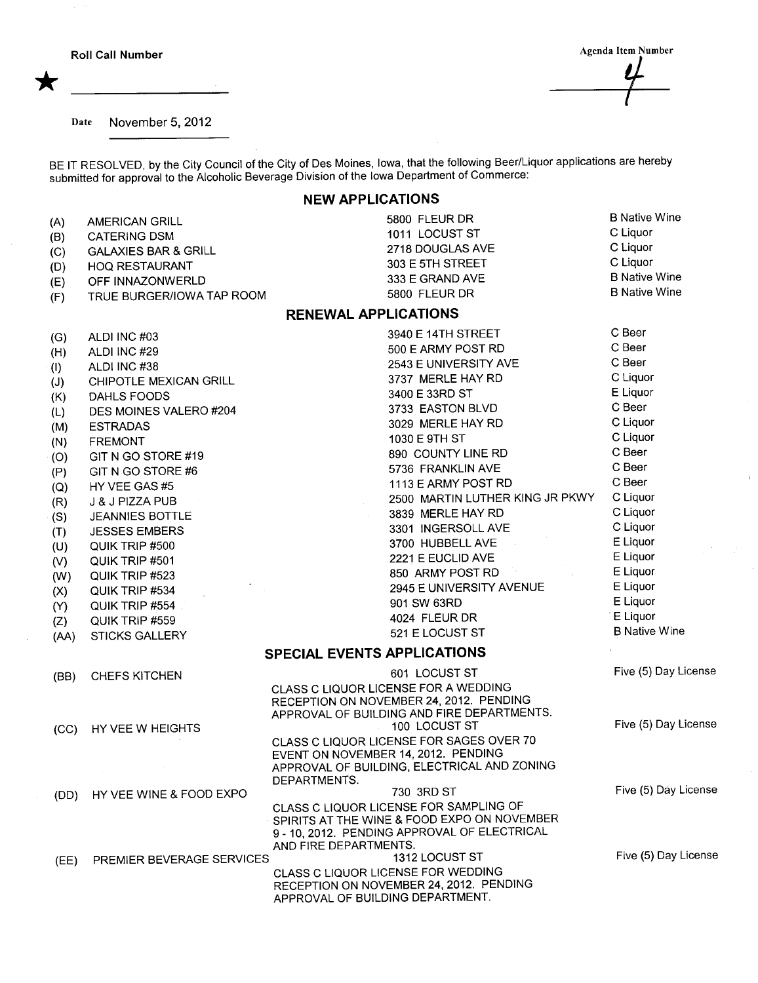Roll Call Number

\*

Agenda Item Number

 $\bar{I}$ 

Date November 5,2012

BE IT RESOLVED, by the City Council of the City of Des Moines, Iowa, that the following Beer/Liquor applications are hereby submitted for approval to the Alcoholic Beverage Division of the Iowa Department of Commerce:

## NEW APPLICATIONS

| (A)                         | <b>AMERICAN GRILL</b>                  | 5800 FLEUR DR                                                                         | <b>B Native Wine</b> |  |  |  |  |  |  |
|-----------------------------|----------------------------------------|---------------------------------------------------------------------------------------|----------------------|--|--|--|--|--|--|
| (B)                         | <b>CATERING DSM</b>                    | 1011 LOCUST ST                                                                        | C Liquor             |  |  |  |  |  |  |
| (C)                         | <b>GALAXIES BAR &amp; GRILL</b>        | 2718 DOUGLAS AVE                                                                      | C Liquor             |  |  |  |  |  |  |
| (D)                         | <b>HOQ RESTAURANT</b>                  | 303 E 5TH STREET                                                                      | C Liquor             |  |  |  |  |  |  |
| (E)                         | OFF INNAZONWERLD                       | 333 E GRAND AVE                                                                       | <b>B Native Wine</b> |  |  |  |  |  |  |
| (F)                         | TRUE BURGER/IOWA TAP ROOM              | 5800 FLEUR DR                                                                         | <b>B Native Wine</b> |  |  |  |  |  |  |
| <b>RENEWAL APPLICATIONS</b> |                                        |                                                                                       |                      |  |  |  |  |  |  |
|                             | ALDI INC #03                           | 3940 E 14TH STREET                                                                    | C Beer               |  |  |  |  |  |  |
| (G)                         | ALDI INC #29                           | 500 E ARMY POST RD                                                                    | C Beer               |  |  |  |  |  |  |
| (H)                         |                                        | 2543 E UNIVERSITY AVE                                                                 | C Beer               |  |  |  |  |  |  |
| (1)                         | ALDI INC #38<br>CHIPOTLE MEXICAN GRILL | 3737 MERLE HAY RD                                                                     | C Liquor             |  |  |  |  |  |  |
| (J)                         | DAHLS FOODS                            | 3400 E 33RD ST                                                                        | E Liquor             |  |  |  |  |  |  |
| (K)                         |                                        | 3733 EASTON BLVD                                                                      | C Beer               |  |  |  |  |  |  |
| (L)                         | DES MOINES VALERO #204                 | 3029 MERLE HAY RD                                                                     | C Liquor             |  |  |  |  |  |  |
| (M)                         | <b>ESTRADAS</b>                        | 1030 E 9TH ST                                                                         | C Liquor             |  |  |  |  |  |  |
| (N)                         | <b>FREMONT</b>                         | 890 COUNTY LINE RD                                                                    | C Beer               |  |  |  |  |  |  |
| (O)                         | GIT N GO STORE #19                     | 5736 FRANKLIN AVE                                                                     | C Beer               |  |  |  |  |  |  |
| (P)                         | GIT N GO STORE #6                      | 1113 E ARMY POST RD                                                                   | C Beer               |  |  |  |  |  |  |
| (Q)                         | HY VEE GAS #5                          | 2500 MARTIN LUTHER KING JR PKWY                                                       | C Liquor             |  |  |  |  |  |  |
| (R)                         | J & J PIZZA PUB                        | 3839 MERLE HAY RD                                                                     | C Liquor             |  |  |  |  |  |  |
| (S)                         | <b>JEANNIES BOTTLE</b>                 | 3301 INGERSOLL AVE                                                                    | C Liquor             |  |  |  |  |  |  |
| (T)                         | <b>JESSES EMBERS</b>                   | 3700 HUBBELL AVE                                                                      | E Liquor             |  |  |  |  |  |  |
| (U)                         | QUIK TRIP #500                         | 2221 E EUCLID AVE                                                                     | E Liquor             |  |  |  |  |  |  |
| (V)                         | QUIK TRIP #501                         | 850 ARMY POST RD                                                                      | E Liquor             |  |  |  |  |  |  |
| (W)                         | QUIK TRIP #523                         | 2945 E UNIVERSITY AVENUE                                                              | E Liquor             |  |  |  |  |  |  |
| (X)                         | QUIK TRIP #534                         | 901 SW 63RD                                                                           | E Liquor             |  |  |  |  |  |  |
| (Y)                         | QUIK TRIP #554                         | 4024 FLEUR DR                                                                         | E Liquor             |  |  |  |  |  |  |
| (Z)                         | QUIK TRIP #559                         | 521 E LOCUST ST                                                                       | <b>B Native Wine</b> |  |  |  |  |  |  |
| (AA)                        | STICKS GALLERY                         | SPECIAL EVENTS APPLICATIONS                                                           |                      |  |  |  |  |  |  |
|                             |                                        |                                                                                       |                      |  |  |  |  |  |  |
| (BB)                        | <b>CHEFS KITCHEN</b>                   | 601 LOCUST ST                                                                         | Five (5) Day License |  |  |  |  |  |  |
|                             |                                        | CLASS C LIQUOR LICENSE FOR A WEDDING<br>RECEPTION ON NOVEMBER 24, 2012. PENDING       |                      |  |  |  |  |  |  |
|                             |                                        | APPROVAL OF BUILDING AND FIRE DEPARTMENTS.                                            |                      |  |  |  |  |  |  |
| (CC)                        | HY VEE W HEIGHTS                       | 100 LOCUST ST                                                                         | Five (5) Day License |  |  |  |  |  |  |
|                             |                                        | CLASS C LIQUOR LICENSE FOR SAGES OVER 70                                              |                      |  |  |  |  |  |  |
|                             |                                        | EVENT ON NOVEMBER 14, 2012. PENDING                                                   |                      |  |  |  |  |  |  |
|                             |                                        | APPROVAL OF BUILDING, ELECTRICAL AND ZONING                                           |                      |  |  |  |  |  |  |
|                             |                                        | DEPARTMENTS.                                                                          | Five (5) Day License |  |  |  |  |  |  |
| (DD)                        | HY VEE WINE & FOOD EXPO                | 730 3RD ST                                                                            |                      |  |  |  |  |  |  |
|                             |                                        | CLASS C LIQUOR LICENSE FOR SAMPLING OF<br>SPIRITS AT THE WINE & FOOD EXPO ON NOVEMBER |                      |  |  |  |  |  |  |
|                             |                                        | 9 - 10, 2012. PENDING APPROVAL OF ELECTRICAL                                          |                      |  |  |  |  |  |  |
|                             |                                        | AND FIRE DEPARTMENTS.                                                                 |                      |  |  |  |  |  |  |
| (EE)                        | PREMIER BEVERAGE SERVICES              | 1312 LOCUST ST                                                                        | Five (5) Day License |  |  |  |  |  |  |
|                             |                                        | CLASS C LIQUOR LICENSE FOR WEDDING                                                    |                      |  |  |  |  |  |  |
|                             |                                        | RECEPTION ON NOVEMBER 24, 2012. PENDING                                               |                      |  |  |  |  |  |  |
|                             |                                        | APPROVAL OF BUILDING DEPARTMENT.                                                      |                      |  |  |  |  |  |  |